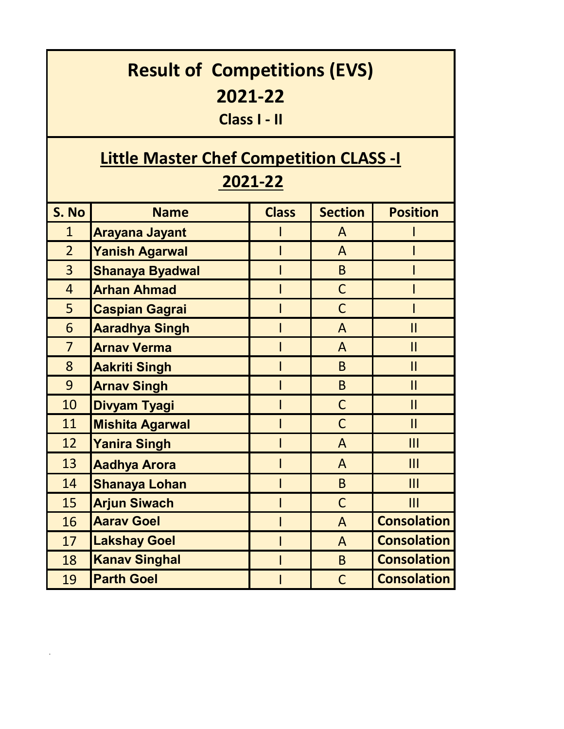| <b>Result of Competitions (EVS)</b><br>2021-22<br>Class I - II |                        |              |                |                    |  |  |  |
|----------------------------------------------------------------|------------------------|--------------|----------------|--------------------|--|--|--|
| <b>Little Master Chef Competition CLASS -I</b>                 |                        |              |                |                    |  |  |  |
| 2021-22                                                        |                        |              |                |                    |  |  |  |
| S. No                                                          | <b>Name</b>            | <b>Class</b> | <b>Section</b> | <b>Position</b>    |  |  |  |
| $\mathbf{1}$                                                   | <b>Arayana Jayant</b>  |              | A              |                    |  |  |  |
| $\overline{2}$                                                 | <b>Yanish Agarwal</b>  |              | $\mathsf{A}$   |                    |  |  |  |
| $\overline{3}$                                                 | <b>Shanaya Byadwal</b> |              | B <sub>1</sub> |                    |  |  |  |
| $\overline{4}$                                                 | <b>Arhan Ahmad</b>     |              | $\mathsf{C}$   |                    |  |  |  |
| 5                                                              | <b>Caspian Gagrai</b>  |              | $\mathsf{C}$   |                    |  |  |  |
| 6                                                              | <b>Aaradhya Singh</b>  |              | $\mathsf{A}$   | $\mathbf{II}$      |  |  |  |
| $\overline{7}$                                                 | <b>Arnav Verma</b>     |              | $\mathsf{A}$   | $\mathsf{II}$      |  |  |  |
| 8                                                              | <b>Aakriti Singh</b>   |              | B.             | $\mathbf{I}$       |  |  |  |
| 9                                                              | <b>Arnav Singh</b>     |              | B              | $\mathbf{II}$      |  |  |  |
| 10                                                             | <b>Divyam Tyagi</b>    |              | $\mathsf C$    | $\mathbf{II}$      |  |  |  |
| 11                                                             | <b>Mishita Agarwal</b> |              | $\mathsf C$    | $\mathbf{I}$       |  |  |  |
| 12                                                             | <b>Yanira Singh</b>    |              | $\mathsf{A}$   | III                |  |  |  |
| 13                                                             | <b>Aadhya Arora</b>    | L            | A              | III                |  |  |  |
| 14                                                             | <b>Shanaya Lohan</b>   | I            | B              | III                |  |  |  |
| 15                                                             | <b>Arjun Siwach</b>    | I            | $\mathsf C$    | III                |  |  |  |
| 16                                                             | <b>Aarav Goel</b>      | I            | $\mathsf{A}$   | <b>Consolation</b> |  |  |  |
| 17                                                             | <b>Lakshay Goel</b>    | I            | $\mathsf{A}$   | <b>Consolation</b> |  |  |  |
| 18                                                             | <b>Kanav Singhal</b>   | I            | B <sub>1</sub> | <b>Consolation</b> |  |  |  |
| 19                                                             | <b>Parth Goel</b>      | I            | $\mathsf{C}$   | <b>Consolation</b> |  |  |  |

 $\mathcal{O}(\mathcal{O}(\log n))$